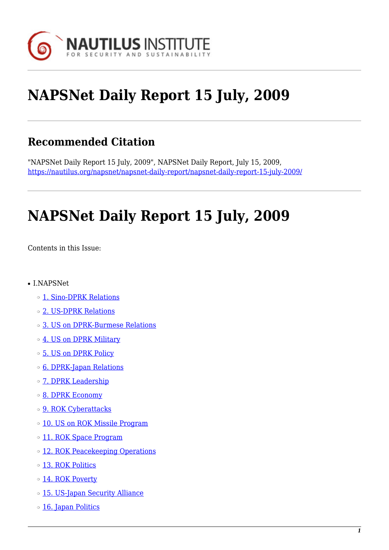

# **NAPSNet Daily Report 15 July, 2009**

# **Recommended Citation**

"NAPSNet Daily Report 15 July, 2009", NAPSNet Daily Report, July 15, 2009, <https://nautilus.org/napsnet/napsnet-daily-report/napsnet-daily-report-15-july-2009/>

# **NAPSNet Daily Report 15 July, 2009**

<span id="page-0-0"></span>Contents in this Issue:

- I.NAPSNet
	- ❍ [1. Sino-DPRK Relations](#page-1-0)
	- ❍ [2. US-DPRK Relations](#page-1-1)
	- ❍ [3. US on DPRK-Burmese Relations](#page-2-0)
	- o [4. US on DPRK Military](#page-2-1)
	- ❍ [5. US on DPRK Policy](#page-2-2)
	- ❍ [6. DPRK-Japan Relations](#page-2-3)
	- o [7. DPRK Leadership](#page-3-0)
	- ❍ [8. DPRK Economy](#page-3-1)
	- o [9. ROK Cyberattacks](#page-4-0)
	- o [10. US on ROK Missile Program](#page-4-1)
	- o [11. ROK Space Program](#page-4-2)
	- ❍ [12. ROK Peacekeeping Operations](#page-5-0)
	- ❍ [13. ROK Politics](#page-5-1)
	- o [14. ROK Poverty](#page-5-2)
	- o [15. US-Japan Security Alliance](#page-6-0)
	- o [16. Japan Politics](#page-6-1)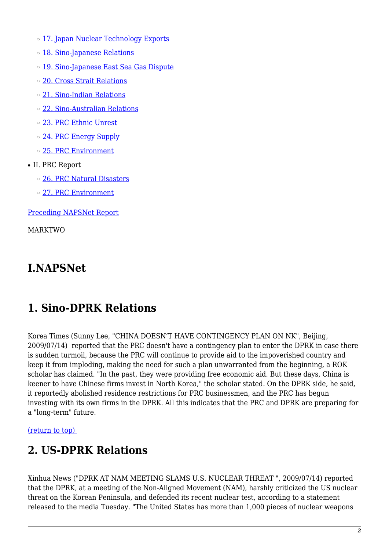- o [17. Japan Nuclear Technology Exports](#page-6-2)
- o [18. Sino-Japanese Relations](#page-7-0)
- o [19. Sino-Japanese East Sea Gas Dispute](#page-7-1)
- ❍ [20. Cross Strait Relations](#page-7-2)
- ❍ [21. Sino-Indian Relations](#page-7-3)
- ❍ [22. Sino-Australian Relations](#page-8-0)
- ❍ [23. PRC Ethnic Unrest](#page-8-1)
- o [24. PRC Energy Supply](#page-8-2)
- ❍ [25. PRC Environment](#page-8-3)
- II. PRC Report
	- ❍ [26. PRC Natural Disasters](#page-9-0)
	- ❍ [27. PRC Environment](#page-9-1)

[Preceding NAPSNet Report](https://nautilus.org/mailing-lists/napsnet/dr/2009-2/napsnet-daily-report-14-july-2009/)

MARKTWO

# **I.NAPSNet**

# <span id="page-1-0"></span>**1. Sino-DPRK Relations**

Korea Times (Sunny Lee, "CHINA DOESN'T HAVE CONTINGENCY PLAN ON NK", Beijing, 2009/07/14) reported that the PRC doesn't have a contingency plan to enter the DPRK in case there is sudden turmoil, because the PRC will continue to provide aid to the impoverished country and keep it from imploding, making the need for such a plan unwarranted from the beginning, a ROK scholar has claimed. "In the past, they were providing free economic aid. But these days, China is keener to have Chinese firms invest in North Korea," the scholar stated. On the DPRK side, he said, it reportedly abolished residence restrictions for PRC businessmen, and the PRC has begun investing with its own firms in the DPRK. All this indicates that the PRC and DPRK are preparing for a "long-term" future.

<span id="page-1-1"></span>[\(return to top\)](#page-0-0) 

# **2. US-DPRK Relations**

Xinhua News ("DPRK AT NAM MEETING SLAMS U.S. NUCLEAR THREAT ", 2009/07/14) reported that the DPRK, at a meeting of the Non-Aligned Movement (NAM), harshly criticized the US nuclear threat on the Korean Peninsula, and defended its recent nuclear test, according to a statement released to the media Tuesday. "The United States has more than 1,000 pieces of nuclear weapons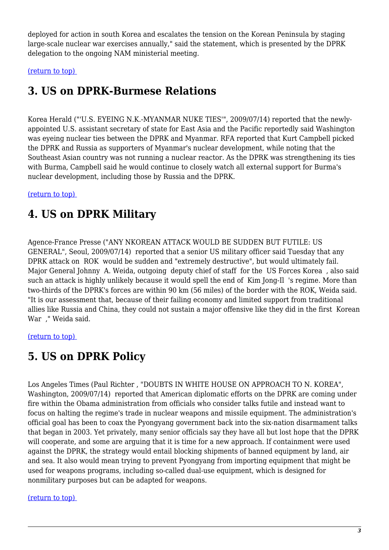deployed for action in south Korea and escalates the tension on the Korean Peninsula by staging large-scale nuclear war exercises annually," said the statement, which is presented by the DPRK delegation to the ongoing NAM ministerial meeting.

<span id="page-2-0"></span>[\(return to top\)](#page-0-0) 

### **3. US on DPRK-Burmese Relations**

Korea Herald ("'U.S. EYEING N.K.-MYANMAR NUKE TIES'", 2009/07/14) reported that the newlyappointed U.S. assistant secretary of state for East Asia and the Pacific reportedly said Washington was eyeing nuclear ties between the DPRK and Myanmar. RFA reported that Kurt Campbell picked the DPRK and Russia as supporters of Myanmar's nuclear development, while noting that the Southeast Asian country was not running a nuclear reactor. As the DPRK was strengthening its ties with Burma, Campbell said he would continue to closely watch all external support for Burma's nuclear development, including those by Russia and the DPRK.

#### <span id="page-2-1"></span>[\(return to top\)](#page-0-0)

#### **4. US on DPRK Military**

Agence-France Presse ("ANY NKOREAN ATTACK WOULD BE SUDDEN BUT FUTILE: US GENERAL", Seoul, 2009/07/14) reported that a senior US military officer said Tuesday that any DPRK attack on ROK would be sudden and "extremely destructive", but would ultimately fail. Major General Johnny A. Weida, outgoing deputy chief of staff for the US Forces Korea , also said such an attack is highly unlikely because it would spell the end of Kim Jong-Il 's regime. More than two-thirds of the DPRK's forces are within 90 km (56 miles) of the border with the ROK, Weida said. "It is our assessment that, because of their failing economy and limited support from traditional allies like Russia and China, they could not sustain a major offensive like they did in the first Korean War ," Weida said.

#### <span id="page-2-2"></span>[\(return to top\)](#page-0-0)

#### **5. US on DPRK Policy**

Los Angeles Times (Paul Richter , "DOUBTS IN WHITE HOUSE ON APPROACH TO N. KOREA", Washington, 2009/07/14) reported that American diplomatic efforts on the DPRK are coming under fire within the Obama administration from officials who consider talks futile and instead want to focus on halting the regime's trade in nuclear weapons and missile equipment. The administration's official goal has been to coax the Pyongyang government back into the six-nation disarmament talks that began in 2003. Yet privately, many senior officials say they have all but lost hope that the DPRK will cooperate, and some are arguing that it is time for a new approach. If containment were used against the DPRK, the strategy would entail blocking shipments of banned equipment by land, air and sea. It also would mean trying to prevent Pyongyang from importing equipment that might be used for weapons programs, including so-called dual-use equipment, which is designed for nonmilitary purposes but can be adapted for weapons.

#### <span id="page-2-3"></span>[\(return to top\)](#page-0-0)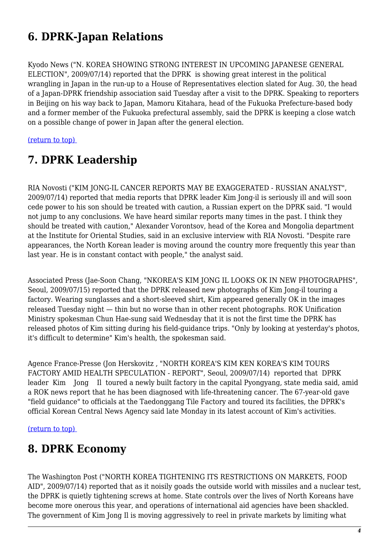# **6. DPRK-Japan Relations**

Kyodo News ("N. KOREA SHOWING STRONG INTEREST IN UPCOMING JAPANESE GENERAL ELECTION", 2009/07/14) reported that the DPRK is showing great interest in the political wrangling in Japan in the run-up to a House of Representatives election slated for Aug. 30, the head of a Japan-DPRK friendship association said Tuesday after a visit to the DPRK. Speaking to reporters in Beijing on his way back to Japan, Mamoru Kitahara, head of the Fukuoka Prefecture-based body and a former member of the Fukuoka prefectural assembly, said the DPRK is keeping a close watch on a possible change of power in Japan after the general election.

<span id="page-3-0"></span>[\(return to top\)](#page-0-0) 

# **7. DPRK Leadership**

RIA Novosti ("KIM JONG-IL CANCER REPORTS MAY BE EXAGGERATED - RUSSIAN ANALYST", 2009/07/14) reported that media reports that DPRK leader Kim Jong-il is seriously ill and will soon cede power to his son should be treated with caution, a Russian expert on the DPRK said. "I would not jump to any conclusions. We have heard similar reports many times in the past. I think they should be treated with caution," Alexander Vorontsov, head of the Korea and Mongolia department at the Institute for Oriental Studies, said in an exclusive interview with RIA Novosti. "Despite rare appearances, the North Korean leader is moving around the country more frequently this year than last year. He is in constant contact with people," the analyst said.

Associated Press (Jae-Soon Chang, "NKOREA'S KIM JONG IL LOOKS OK IN NEW PHOTOGRAPHS", Seoul, 2009/07/15) reported that the DPRK released new photographs of Kim Jong-il touring a factory. Wearing sunglasses and a short-sleeved shirt, Kim appeared generally OK in the images released Tuesday night — thin but no worse than in other recent photographs. ROK Unification Ministry spokesman Chun Hae-sung said Wednesday that it is not the first time the DPRK has released photos of Kim sitting during his field-guidance trips. "Only by looking at yesterday's photos, it's difficult to determine" Kim's health, the spokesman said.

Agence France-Presse (Jon Herskovitz , "NORTH KOREA'S KIM KEN KOREA'S KIM TOURS FACTORY AMID HEALTH SPECULATION - REPORT", Seoul, 2009/07/14) reported that DPRK leader Kim Jong Il toured a newly built factory in the capital Pyongyang, state media said, amid a ROK news report that he has been diagnosed with life-threatening cancer. The 67-year-old gave "field guidance" to officials at the Taedonggang Tile Factory and toured its facilities, the DPRK's official Korean Central News Agency said late Monday in its latest account of Kim's activities.

<span id="page-3-1"></span>[\(return to top\)](#page-0-0) 

#### **8. DPRK Economy**

The Washington Post ("NORTH KOREA TIGHTENING ITS RESTRICTIONS ON MARKETS, FOOD AID", 2009/07/14) reported that as it noisily goads the outside world with missiles and a nuclear test, the DPRK is quietly tightening screws at home. State controls over the lives of North Koreans have become more onerous this year, and operations of international aid agencies have been shackled. The government of Kim Jong Il is moving aggressively to reel in private markets by limiting what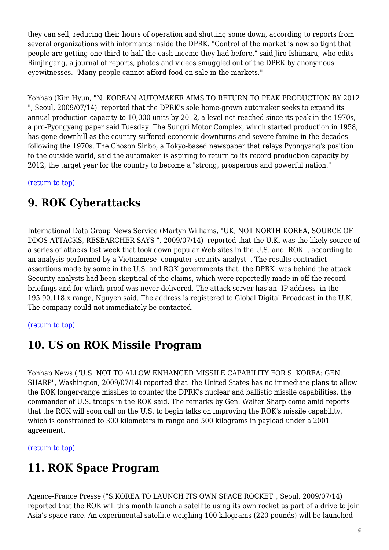they can sell, reducing their hours of operation and shutting some down, according to reports from several organizations with informants inside the DPRK. "Control of the market is now so tight that people are getting one-third to half the cash income they had before," said Jiro Ishimaru, who edits Rimjingang, a journal of reports, photos and videos smuggled out of the DPRK by anonymous eyewitnesses. "Many people cannot afford food on sale in the markets."

Yonhap (Kim Hyun, "N. KOREAN AUTOMAKER AIMS TO RETURN TO PEAK PRODUCTION BY 2012 ", Seoul, 2009/07/14) reported that the DPRK's sole home-grown automaker seeks to expand its annual production capacity to 10,000 units by 2012, a level not reached since its peak in the 1970s, a pro-Pyongyang paper said Tuesday. The Sungri Motor Complex, which started production in 1958, has gone downhill as the country suffered economic downturns and severe famine in the decades following the 1970s. The Choson Sinbo, a Tokyo-based newspaper that relays Pyongyang's position to the outside world, said the automaker is aspiring to return to its record production capacity by 2012, the target year for the country to become a "strong, prosperous and powerful nation."

<span id="page-4-0"></span>[\(return to top\)](#page-0-0) 

# **9. ROK Cyberattacks**

International Data Group News Service (Martyn Williams, "UK, NOT NORTH KOREA, SOURCE OF DDOS ATTACKS, RESEARCHER SAYS ", 2009/07/14) reported that the U.K. was the likely source of a series of attacks last week that took down popular Web sites in the U.S. and ROK , according to an analysis performed by a Vietnamese computer security analyst . The results contradict assertions made by some in the U.S. and ROK governments that the DPRK was behind the attack. Security analysts had been skeptical of the claims, which were reportedly made in off-the-record briefings and for which proof was never delivered. The attack server has an IP address in the 195.90.118.x range, Nguyen said. The address is registered to Global Digital Broadcast in the U.K. The company could not immediately be contacted.

#### <span id="page-4-1"></span>[\(return to top\)](#page-0-0)

#### **10. US on ROK Missile Program**

Yonhap News ("U.S. NOT TO ALLOW ENHANCED MISSILE CAPABILITY FOR S. KOREA: GEN. SHARP", Washington, 2009/07/14) reported that the United States has no immediate plans to allow the ROK longer-range missiles to counter the DPRK's nuclear and ballistic missile capabilities, the commander of U.S. troops in the ROK said. The remarks by Gen. Walter Sharp come amid reports that the ROK will soon call on the U.S. to begin talks on improving the ROK's missile capability, which is constrained to 300 kilometers in range and 500 kilograms in payload under a 2001 agreement.

<span id="page-4-2"></span>[\(return to top\)](#page-0-0) 

# **11. ROK Space Program**

Agence-France Presse ("S.KOREA TO LAUNCH ITS OWN SPACE ROCKET", Seoul, 2009/07/14) reported that the ROK will this month launch a satellite using its own rocket as part of a drive to join Asia's space race. An experimental satellite weighing 100 kilograms (220 pounds) will be launched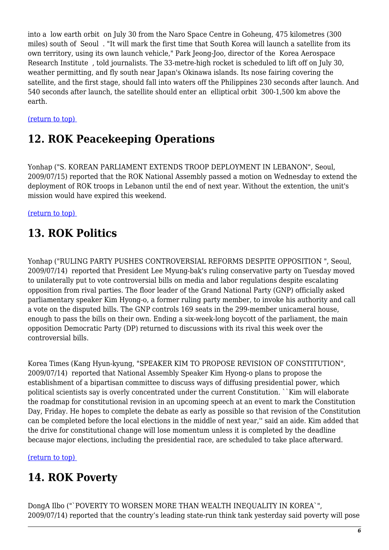into a low earth orbit on July 30 from the Naro Space Centre in Goheung, 475 kilometres (300 miles) south of Seoul . "It will mark the first time that South Korea will launch a satellite from its own territory, using its own launch vehicle," Park Jeong-Joo, director of the Korea Aerospace Research Institute , told journalists. The 33-metre-high rocket is scheduled to lift off on July 30, weather permitting, and fly south near Japan's Okinawa islands. Its nose fairing covering the satellite, and the first stage, should fall into waters off the Philippines 230 seconds after launch. And 540 seconds after launch, the satellite should enter an elliptical orbit 300-1,500 km above the earth.

#### <span id="page-5-0"></span>[\(return to top\)](#page-0-0)

## **12. ROK Peacekeeping Operations**

Yonhap ("S. KOREAN PARLIAMENT EXTENDS TROOP DEPLOYMENT IN LEBANON", Seoul, 2009/07/15) reported that the ROK National Assembly passed a motion on Wednesday to extend the deployment of ROK troops in Lebanon until the end of next year. Without the extention, the unit's mission would have expired this weekend.

<span id="page-5-1"></span>[\(return to top\)](#page-0-0) 

# **13. ROK Politics**

Yonhap ("RULING PARTY PUSHES CONTROVERSIAL REFORMS DESPITE OPPOSITION ", Seoul, 2009/07/14) reported that President Lee Myung-bak's ruling conservative party on Tuesday moved to unilaterally put to vote controversial bills on media and labor regulations despite escalating opposition from rival parties. The floor leader of the Grand National Party (GNP) officially asked parliamentary speaker Kim Hyong-o, a former ruling party member, to invoke his authority and call a vote on the disputed bills. The GNP controls 169 seats in the 299-member unicameral house, enough to pass the bills on their own. Ending a six-week-long boycott of the parliament, the main opposition Democratic Party (DP) returned to discussions with its rival this week over the controversial bills.

Korea Times (Kang Hyun-kyung, "SPEAKER KIM TO PROPOSE REVISION OF CONSTITUTION", 2009/07/14) reported that National Assembly Speaker Kim Hyong-o plans to propose the establishment of a bipartisan committee to discuss ways of diffusing presidential power, which political scientists say is overly concentrated under the current Constitution. ``Kim will elaborate the roadmap for constitutional revision in an upcoming speech at an event to mark the Constitution Day, Friday. He hopes to complete the debate as early as possible so that revision of the Constitution can be completed before the local elections in the middle of next year,'' said an aide. Kim added that the drive for constitutional change will lose momentum unless it is completed by the deadline because major elections, including the presidential race, are scheduled to take place afterward.

<span id="page-5-2"></span>[\(return to top\)](#page-0-0) 

# **14. ROK Poverty**

DongA Ilbo ("`POVERTY TO WORSEN MORE THAN WEALTH INEQUALITY IN KOREA`", 2009/07/14) reported that the country's leading state-run think tank yesterday said poverty will pose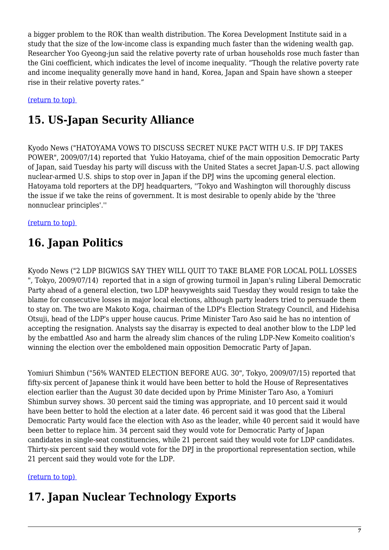a bigger problem to the ROK than wealth distribution. The Korea Development Institute said in a study that the size of the low-income class is expanding much faster than the widening wealth gap. Researcher Yoo Gyeong-jun said the relative poverty rate of urban households rose much faster than the Gini coefficient, which indicates the level of income inequality. "Though the relative poverty rate and income inequality generally move hand in hand, Korea, Japan and Spain have shown a steeper rise in their relative poverty rates."

<span id="page-6-0"></span>[\(return to top\)](#page-0-0) 

# **15. US-Japan Security Alliance**

Kyodo News ("HATOYAMA VOWS TO DISCUSS SECRET NUKE PACT WITH U.S. IF DPJ TAKES POWER", 2009/07/14) reported that Yukio Hatoyama, chief of the main opposition Democratic Party of Japan, said Tuesday his party will discuss with the United States a secret Japan-U.S. pact allowing nuclear-armed U.S. ships to stop over in Japan if the DPJ wins the upcoming general election. Hatoyama told reporters at the DPJ headquarters, ''Tokyo and Washington will thoroughly discuss the issue if we take the reins of government. It is most desirable to openly abide by the 'three nonnuclear principles'.''

<span id="page-6-1"></span>[\(return to top\)](#page-0-0) 

# **16. Japan Politics**

Kyodo News ("2 LDP BIGWIGS SAY THEY WILL QUIT TO TAKE BLAME FOR LOCAL POLL LOSSES ", Tokyo, 2009/07/14) reported that in a sign of growing turmoil in Japan's ruling Liberal Democratic Party ahead of a general election, two LDP heavyweights said Tuesday they would resign to take the blame for consecutive losses in major local elections, although party leaders tried to persuade them to stay on. The two are Makoto Koga, chairman of the LDP's Election Strategy Council, and Hidehisa Otsuji, head of the LDP's upper house caucus. Prime Minister Taro Aso said he has no intention of accepting the resignation. Analysts say the disarray is expected to deal another blow to the LDP led by the embattled Aso and harm the already slim chances of the ruling LDP-New Komeito coalition's winning the election over the emboldened main opposition Democratic Party of Japan.

Yomiuri Shimbun ("56% WANTED ELECTION BEFORE AUG. 30", Tokyo, 2009/07/15) reported that fifty-six percent of Japanese think it would have been better to hold the House of Representatives election earlier than the August 30 date decided upon by Prime Minister Taro Aso, a Yomiuri Shimbun survey shows. 30 percent said the timing was appropriate, and 10 percent said it would have been better to hold the election at a later date. 46 percent said it was good that the Liberal Democratic Party would face the election with Aso as the leader, while 40 percent said it would have been better to replace him. 34 percent said they would vote for Democratic Party of Japan candidates in single-seat constituencies, while 21 percent said they would vote for LDP candidates. Thirty-six percent said they would vote for the DPJ in the proportional representation section, while 21 percent said they would vote for the LDP.

<span id="page-6-2"></span>[\(return to top\)](#page-0-0) 

# **17. Japan Nuclear Technology Exports**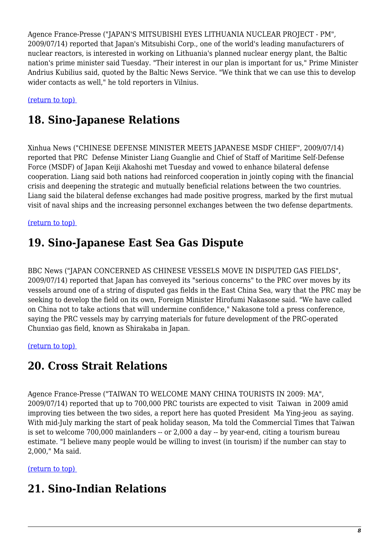Agence France-Presse ("JAPAN'S MITSUBISHI EYES LITHUANIA NUCLEAR PROJECT - PM", 2009/07/14) reported that Japan's Mitsubishi Corp., one of the world's leading manufacturers of nuclear reactors, is interested in working on Lithuania's planned nuclear energy plant, the Baltic nation's prime minister said Tuesday. "Their interest in our plan is important for us," Prime Minister Andrius Kubilius said, quoted by the Baltic News Service. "We think that we can use this to develop wider contacts as well," he told reporters in Vilnius.

<span id="page-7-0"></span>[\(return to top\)](#page-0-0) 

# **18. Sino-Japanese Relations**

Xinhua News ("CHINESE DEFENSE MINISTER MEETS JAPANESE MSDF CHIEF", 2009/07/14) reported that PRC Defense Minister Liang Guanglie and Chief of Staff of Maritime Self-Defense Force (MSDF) of Japan Keiji Akahoshi met Tuesday and vowed to enhance bilateral defense cooperation. Liang said both nations had reinforced cooperation in jointly coping with the financial crisis and deepening the strategic and mutually beneficial relations between the two countries. Liang said the bilateral defense exchanges had made positive progress, marked by the first mutual visit of naval ships and the increasing personnel exchanges between the two defense departments.

<span id="page-7-1"></span>[\(return to top\)](#page-0-0) 

### **19. Sino-Japanese East Sea Gas Dispute**

BBC News ("JAPAN CONCERNED AS CHINESE VESSELS MOVE IN DISPUTED GAS FIELDS", 2009/07/14) reported that Japan has conveyed its "serious concerns" to the PRC over moves by its vessels around one of a string of disputed gas fields in the East China Sea, wary that the PRC may be seeking to develop the field on its own, Foreign Minister Hirofumi Nakasone said. "We have called on China not to take actions that will undermine confidence," Nakasone told a press conference, saying the PRC vessels may by carrying materials for future development of the PRC-operated Chunxiao gas field, known as Shirakaba in Japan.

<span id="page-7-2"></span>[\(return to top\)](#page-0-0) 

#### **20. Cross Strait Relations**

Agence France-Presse ("TAIWAN TO WELCOME MANY CHINA TOURISTS IN 2009: MA", 2009/07/14) reported that up to 700,000 PRC tourists are expected to visit Taiwan in 2009 amid improving ties between the two sides, a report here has quoted President Ma Ying-jeou as saying. With mid-July marking the start of peak holiday season, Ma told the Commercial Times that Taiwan is set to welcome 700,000 mainlanders -- or 2,000 a day -- by year-end, citing a tourism bureau estimate. "I believe many people would be willing to invest (in tourism) if the number can stay to 2,000," Ma said.

<span id="page-7-3"></span>[\(return to top\)](#page-0-0) 

#### **21. Sino-Indian Relations**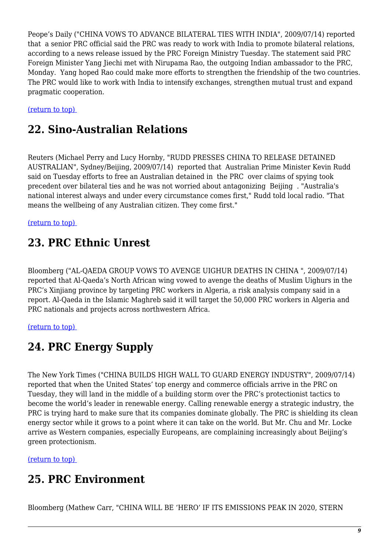Peope's Daily ("CHINA VOWS TO ADVANCE BILATERAL TIES WITH INDIA", 2009/07/14) reported that a senior PRC official said the PRC was ready to work with India to promote bilateral relations, according to a news release issued by the PRC Foreign Ministry Tuesday. The statement said PRC Foreign Minister Yang Jiechi met with Nirupama Rao, the outgoing Indian ambassador to the PRC, Monday. Yang hoped Rao could make more efforts to strengthen the friendship of the two countries. The PRC would like to work with India to intensify exchanges, strengthen mutual trust and expand pragmatic cooperation.

<span id="page-8-0"></span>[\(return to top\)](#page-0-0) 

### **22. Sino-Australian Relations**

Reuters (Michael Perry and Lucy Hornby, "RUDD PRESSES CHINA TO RELEASE DETAINED AUSTRALIAN", Sydney/Beijing, 2009/07/14) reported that Australian Prime Minister Kevin Rudd said on Tuesday efforts to free an Australian detained in the PRC over claims of spying took precedent over bilateral ties and he was not worried about antagonizing Beijing . "Australia's national interest always and under every circumstance comes first," Rudd told local radio. "That means the wellbeing of any Australian citizen. They come first."

<span id="page-8-1"></span>[\(return to top\)](#page-0-0) 

#### **23. PRC Ethnic Unrest**

Bloomberg ("AL-QAEDA GROUP VOWS TO AVENGE UIGHUR DEATHS IN CHINA ", 2009/07/14) reported that Al-Qaeda's North African wing vowed to avenge the deaths of Muslim Uighurs in the PRC's Xinjiang province by targeting PRC workers in Algeria, a risk analysis company said in a report. Al-Qaeda in the Islamic Maghreb said it will target the 50,000 PRC workers in Algeria and PRC nationals and projects across northwestern Africa.

<span id="page-8-2"></span>[\(return to top\)](#page-0-0) 

### **24. PRC Energy Supply**

The New York Times ("CHINA BUILDS HIGH WALL TO GUARD ENERGY INDUSTRY", 2009/07/14) reported that when the United States' top energy and commerce officials arrive in the PRC on Tuesday, they will land in the middle of a building storm over the PRC's protectionist tactics to become the world's leader in renewable energy. Calling renewable energy a strategic industry, the PRC is trying hard to make sure that its companies dominate globally. The PRC is shielding its clean energy sector while it grows to a point where it can take on the world. But Mr. Chu and Mr. Locke arrive as Western companies, especially Europeans, are complaining increasingly about Beijing's green protectionism.

<span id="page-8-3"></span>[\(return to top\)](#page-0-0) 

#### **25. PRC Environment**

Bloomberg (Mathew Carr, "CHINA WILL BE 'HERO' IF ITS EMISSIONS PEAK IN 2020, STERN